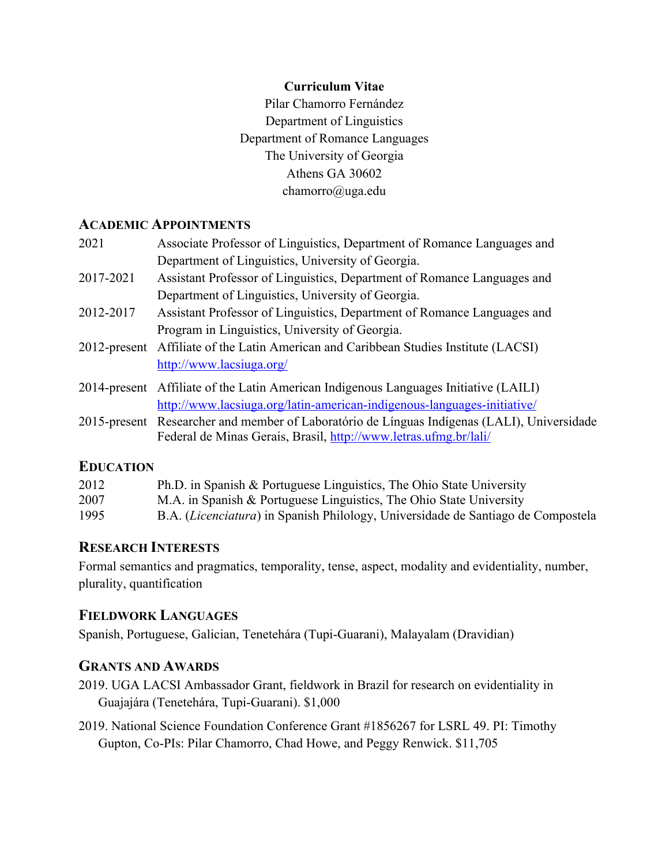#### **Curriculum Vitae**

Pilar Chamorro Fernández Department of Linguistics Department of Romance Languages The University of Georgia Athens GA 30602 chamorro@uga.edu

## **ACADEMIC APPOINTMENTS**

| 2021         | Associate Professor of Linguistics, Department of Romance Languages and                     |
|--------------|---------------------------------------------------------------------------------------------|
|              | Department of Linguistics, University of Georgia.                                           |
| 2017-2021    | Assistant Professor of Linguistics, Department of Romance Languages and                     |
|              | Department of Linguistics, University of Georgia.                                           |
| 2012-2017    | Assistant Professor of Linguistics, Department of Romance Languages and                     |
|              | Program in Linguistics, University of Georgia.                                              |
| 2012-present | Affiliate of the Latin American and Caribbean Studies Institute (LACSI)                     |
|              | http://www.lacsiuga.org/                                                                    |
|              | 2014-present Affiliate of the Latin American Indigenous Languages Initiative (LAILI)        |
|              | http://www.lacsiuga.org/latin-american-indigenous-languages-initiative/                     |
|              | 2015-present Researcher and member of Laboratório de Línguas Indígenas (LALI), Universidade |
|              | Federal de Minas Gerais, Brasil, http://www.letras.ufmg.br/lali/                            |
|              |                                                                                             |

## **EDUCATION**

| 2012 | Ph.D. in Spanish & Portuguese Linguistics, The Ohio State University                      |
|------|-------------------------------------------------------------------------------------------|
| 2007 | M.A. in Spanish & Portuguese Linguistics, The Ohio State University                       |
| 1995 | B.A. ( <i>Licenciatura</i> ) in Spanish Philology, Universidade de Santiago de Compostela |

## **RESEARCH INTERESTS**

Formal semantics and pragmatics, temporality, tense, aspect, modality and evidentiality, number, plurality, quantification

### **FIELDWORK LANGUAGES**

Spanish, Portuguese, Galician, Tenetehára (Tupi-Guarani), Malayalam (Dravidian)

## **GRANTS AND AWARDS**

- 2019. UGA LACSI Ambassador Grant, fieldwork in Brazil for research on evidentiality in Guajajára (Tenetehára, Tupi-Guarani). \$1,000
- 2019. National Science Foundation Conference Grant #1856267 for LSRL 49. PI: Timothy Gupton, Co-PIs: Pilar Chamorro, Chad Howe, and Peggy Renwick. \$11,705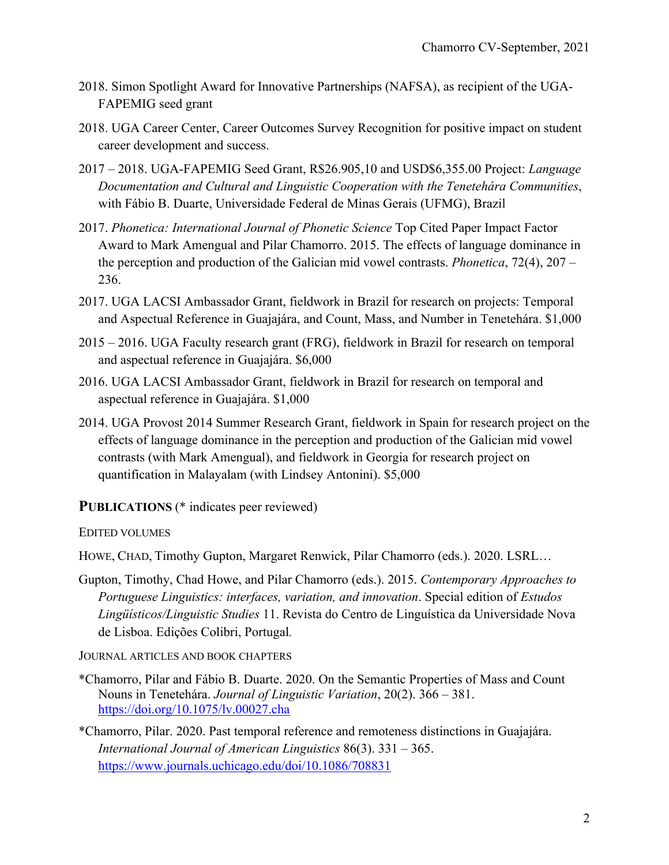- 2018. Simon Spotlight Award for Innovative Partnerships (NAFSA), as recipient of the UGA-FAPEMIG seed grant
- 2018. UGA Career Center, Career Outcomes Survey Recognition for positive impact on student career development and success.
- 2017 2018. UGA-FAPEMIG Seed Grant, R\$26.905,10 and USD\$6,355.00 Project: *Language Documentation and Cultural and Linguistic Cooperation with the Tenetehára Communities*, with Fábio B. Duarte, Universidade Federal de Minas Gerais (UFMG), Brazil
- 2017. *Phonetica: International Journal of Phonetic Science* Top Cited Paper Impact Factor Award to Mark Amengual and Pilar Chamorro. 2015. The effects of language dominance in the perception and production of the Galician mid vowel contrasts. *Phonetica*, 72(4), 207 – 236.
- 2017. UGA LACSI Ambassador Grant, fieldwork in Brazil for research on projects: Temporal and Aspectual Reference in Guajajára, and Count, Mass, and Number in Tenetehára. \$1,000
- 2015 2016. UGA Faculty research grant (FRG), fieldwork in Brazil for research on temporal and aspectual reference in Guajajára. \$6,000
- 2016. UGA LACSI Ambassador Grant, fieldwork in Brazil for research on temporal and aspectual reference in Guajajára. \$1,000
- 2014. UGA Provost 2014 Summer Research Grant, fieldwork in Spain for research project on the effects of language dominance in the perception and production of the Galician mid vowel contrasts (with Mark Amengual), and fieldwork in Georgia for research project on quantification in Malayalam (with Lindsey Antonini). \$5,000

**PUBLICATIONS** (\* indicates peer reviewed)

EDITED VOLUMES

HOWE, CHAD, Timothy Gupton, Margaret Renwick, Pilar Chamorro (eds.). 2020. LSRL…

Gupton, Timothy, Chad Howe, and Pilar Chamorro (eds.). 2015. *Contemporary Approaches to Portuguese Linguistics: interfaces, variation, and innovation*. Special edition of *Estudos Lingüísticos/Linguistic Studies* 11. Revista do Centro de Linguística da Universidade Nova de Lisboa. Edições Colibri, Portugal*.*

JOURNAL ARTICLES AND BOOK CHAPTERS

\*Chamorro, Pilar and Fábio B. Duarte. 2020. On the Semantic Properties of Mass and Count Nouns in Tenetehára. *Journal of Linguistic Variation*, 20(2). 366 – 381. https://doi.org/10.1075/lv.00027.cha

\*Chamorro, Pilar. 2020. Past temporal reference and remoteness distinctions in Guajajára. *International Journal of American Linguistics* 86(3). 331 – 365. https://www.journals.uchicago.edu/doi/10.1086/708831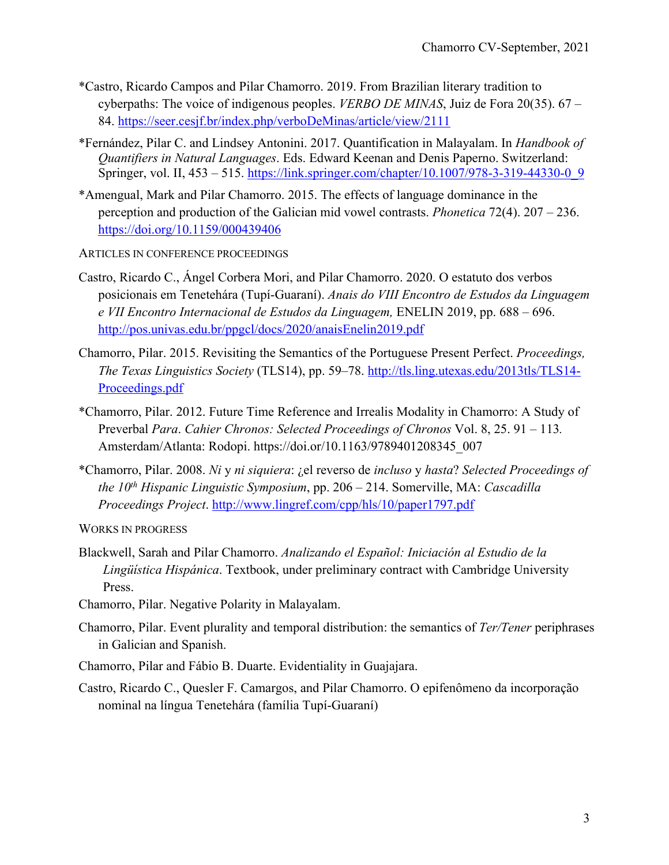- \*Castro, Ricardo Campos and Pilar Chamorro. 2019. From Brazilian literary tradition to cyberpaths: The voice of indigenous peoples. *VERBO DE MINAS*, Juiz de Fora 20(35). 67 – 84. https://seer.cesjf.br/index.php/verboDeMinas/article/view/2111
- \*Fernández, Pilar C. and Lindsey Antonini. 2017. Quantification in Malayalam. In *Handbook of Quantifiers in Natural Languages*. Eds. Edward Keenan and Denis Paperno. Switzerland: Springer, vol. II, 453 – 515. https://link.springer.com/chapter/10.1007/978-3-319-44330-0\_9
- \*Amengual, Mark and Pilar Chamorro. 2015. The effects of language dominance in the perception and production of the Galician mid vowel contrasts. *Phonetica* 72(4). 207 – 236. https://doi.org/10.1159/000439406
- ARTICLES IN CONFERENCE PROCEEDINGS
- Castro, Ricardo C., Ángel Corbera Mori, and Pilar Chamorro. 2020. O estatuto dos verbos posicionais em Tenetehára (Tupí-Guaraní). *Anais do VIII Encontro de Estudos da Linguagem e VII Encontro Internacional de Estudos da Linguagem,* ENELIN 2019, pp. 688 – 696. http://pos.univas.edu.br/ppgcl/docs/2020/anaisEnelin2019.pdf
- Chamorro, Pilar. 2015. Revisiting the Semantics of the Portuguese Present Perfect. *Proceedings, The Texas Linguistics Society* (TLS14), pp. 59–78. http://tls.ling.utexas.edu/2013tls/TLS14- Proceedings.pdf
- \*Chamorro, Pilar. 2012. Future Time Reference and Irrealis Modality in Chamorro: A Study of Preverbal *Para*. *Cahier Chronos: Selected Proceedings of Chronos* Vol. 8, 25. 91 – 113*.* Amsterdam/Atlanta: Rodopi. https://doi.or/10.1163/9789401208345\_007
- \*Chamorro, Pilar. 2008. *Ni* y *ni siquiera*: ¿el reverso de *incluso* y *hasta*? *Selected Proceedings of the 10th Hispanic Linguistic Symposium*, pp. 206 – 214. Somerville, MA: *Cascadilla Proceedings Project*. http://www.lingref.com/cpp/hls/10/paper1797.pdf

WORKS IN PROGRESS

- Blackwell, Sarah and Pilar Chamorro. *Analizando el Español: Iniciación al Estudio de la Lingüística Hispánica*. Textbook, under preliminary contract with Cambridge University Press.
- Chamorro, Pilar. Negative Polarity in Malayalam.
- Chamorro, Pilar. Event plurality and temporal distribution: the semantics of *Ter/Tener* periphrases in Galician and Spanish.
- Chamorro, Pilar and Fábio B. Duarte. Evidentiality in Guajajara.
- Castro, Ricardo C., Quesler F. Camargos, and Pilar Chamorro. O epifenômeno da incorporação nominal na língua Tenetehára (família Tupí-Guaraní)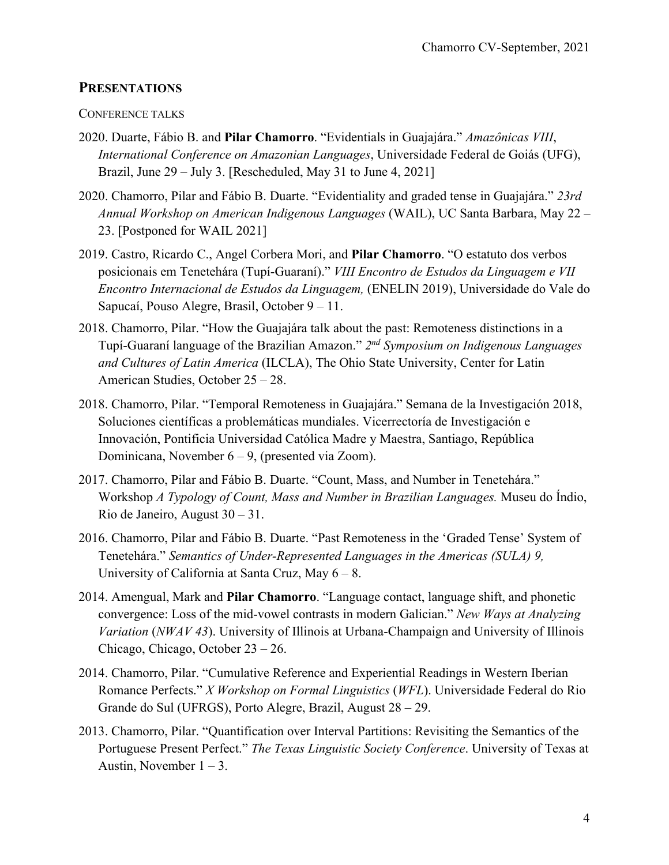#### **PRESENTATIONS**

#### CONFERENCE TALKS

- 2020. Duarte, Fábio B. and **Pilar Chamorro**. "Evidentials in Guajajára." *Amazônicas VIII*, *International Conference on Amazonian Languages*, Universidade Federal de Goiás (UFG), Brazil, June 29 – July 3. [Rescheduled, May 31 to June 4, 2021]
- 2020. Chamorro, Pilar and Fábio B. Duarte. "Evidentiality and graded tense in Guajajára." *23rd Annual Workshop on American Indigenous Languages* (WAIL), UC Santa Barbara, May 22 – 23. [Postponed for WAIL 2021]
- 2019. Castro, Ricardo C., Angel Corbera Mori, and **Pilar Chamorro**. "O estatuto dos verbos posicionais em Tenetehára (Tupí-Guaraní)." *VIII Encontro de Estudos da Linguagem e VII Encontro Internacional de Estudos da Linguagem,* (ENELIN 2019), Universidade do Vale do Sapucaí, Pouso Alegre, Brasil, October 9 – 11.
- 2018. Chamorro, Pilar. "How the Guajajára talk about the past: Remoteness distinctions in a Tupí-Guaraní language of the Brazilian Amazon." *2nd Symposium on Indigenous Languages and Cultures of Latin America* (ILCLA), The Ohio State University, Center for Latin American Studies, October 25 – 28.
- 2018. Chamorro, Pilar. "Temporal Remoteness in Guajajára." Semana de la Investigación 2018, Soluciones científicas a problemáticas mundiales. Vicerrectoría de Investigación e Innovación, Pontificia Universidad Católica Madre y Maestra, Santiago, República Dominicana, November 6 – 9, (presented via Zoom).
- 2017. Chamorro, Pilar and Fábio B. Duarte. "Count, Mass, and Number in Tenetehára." Workshop *A Typology of Count, Mass and Number in Brazilian Languages.* Museu do Índio, Rio de Janeiro, August 30 – 31.
- 2016. Chamorro, Pilar and Fábio B. Duarte. "Past Remoteness in the 'Graded Tense' System of Tenetehára." *Semantics of Under-Represented Languages in the Americas (SULA) 9,*  University of California at Santa Cruz, May  $6 - 8$ .
- 2014. Amengual, Mark and **Pilar Chamorro**. "Language contact, language shift, and phonetic convergence: Loss of the mid-vowel contrasts in modern Galician." *New Ways at Analyzing Variation* (*NWAV 43*). University of Illinois at Urbana-Champaign and University of Illinois Chicago, Chicago, October 23 – 26.
- 2014. Chamorro, Pilar. "Cumulative Reference and Experiential Readings in Western Iberian Romance Perfects." *X Workshop on Formal Linguistics* (*WFL*). Universidade Federal do Rio Grande do Sul (UFRGS), Porto Alegre, Brazil, August 28 – 29.
- 2013. Chamorro, Pilar. "Quantification over Interval Partitions: Revisiting the Semantics of the Portuguese Present Perfect." *The Texas Linguistic Society Conference*. University of Texas at Austin, November  $1 - 3$ .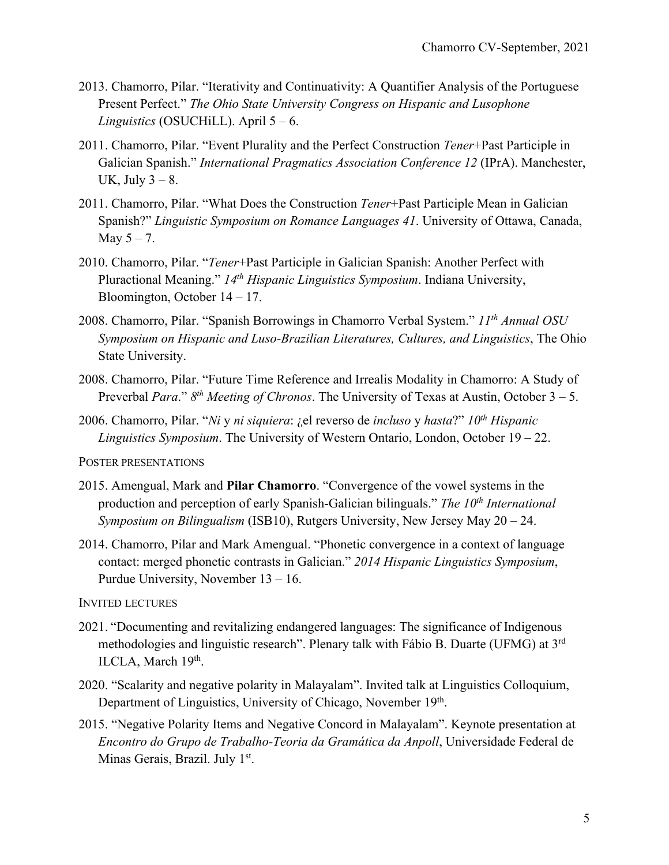- 2013. Chamorro, Pilar. "Iterativity and Continuativity: A Quantifier Analysis of the Portuguese Present Perfect." *The Ohio State University Congress on Hispanic and Lusophone Linguistics* (OSUCHiLL). April 5 – 6.
- 2011. Chamorro, Pilar. "Event Plurality and the Perfect Construction *Tener*+Past Participle in Galician Spanish." *International Pragmatics Association Conference 12* (IPrA). Manchester, UK, July  $3 - 8$ .
- 2011. Chamorro, Pilar. "What Does the Construction *Tener*+Past Participle Mean in Galician Spanish?" *Linguistic Symposium on Romance Languages 41*. University of Ottawa, Canada, May  $5 - 7$ .
- 2010. Chamorro, Pilar. "*Tener*+Past Participle in Galician Spanish: Another Perfect with Pluractional Meaning." *14th Hispanic Linguistics Symposium*. Indiana University, Bloomington, October 14 – 17.
- 2008. Chamorro, Pilar. "Spanish Borrowings in Chamorro Verbal System." *11th Annual OSU Symposium on Hispanic and Luso-Brazilian Literatures, Cultures, and Linguistics*, The Ohio State University.
- 2008. Chamorro, Pilar. "Future Time Reference and Irrealis Modality in Chamorro: A Study of Preverbal *Para*." *8th Meeting of Chronos*. The University of Texas at Austin, October 3 – 5.
- 2006. Chamorro, Pilar. "*Ni* y *ni siquiera*: ¿el reverso de *incluso* y *hasta*?" *10th Hispanic Linguistics Symposium*. The University of Western Ontario, London, October 19 – 22.

POSTER PRESENTATIONS

- 2015. Amengual, Mark and **Pilar Chamorro**. "Convergence of the vowel systems in the production and perception of early Spanish-Galician bilinguals." *The 10<sup>th</sup> International Symposium on Bilingualism* (ISB10), Rutgers University, New Jersey May 20 – 24.
- 2014. Chamorro, Pilar and Mark Amengual. "Phonetic convergence in a context of language contact: merged phonetic contrasts in Galician." *2014 Hispanic Linguistics Symposium*, Purdue University, November 13 – 16.

INVITED LECTURES

- 2021. "Documenting and revitalizing endangered languages: The significance of Indigenous methodologies and linguistic research". Plenary talk with Fábio B. Duarte (UFMG) at 3<sup>rd</sup> ILCLA, March 19th.
- 2020. "Scalarity and negative polarity in Malayalam". Invited talk at Linguistics Colloquium, Department of Linguistics, University of Chicago, November 19th.
- 2015. "Negative Polarity Items and Negative Concord in Malayalam". Keynote presentation at *Encontro do Grupo de Trabalho-Teoria da Gramática da Anpoll*, Universidade Federal de Minas Gerais, Brazil. July 1<sup>st</sup>.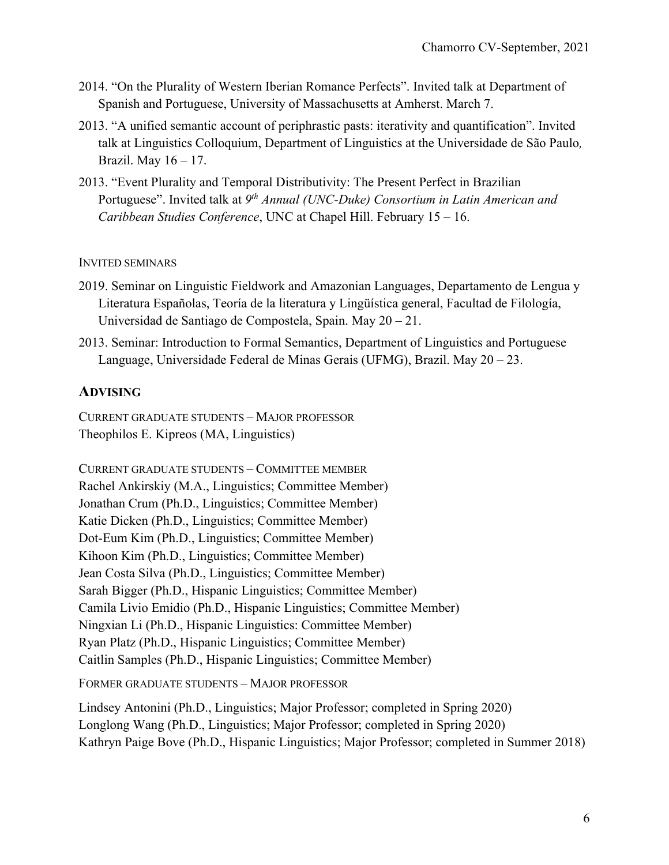- 2014. "On the Plurality of Western Iberian Romance Perfects". Invited talk at Department of Spanish and Portuguese, University of Massachusetts at Amherst. March 7.
- 2013. "A unified semantic account of periphrastic pasts: iterativity and quantification". Invited talk at Linguistics Colloquium, Department of Linguistics at the Universidade de São Paulo*,*  Brazil. May 16 – 17.
- 2013. "Event Plurality and Temporal Distributivity: The Present Perfect in Brazilian Portuguese". Invited talk at *9th Annual (UNC-Duke) Consortium in Latin American and Caribbean Studies Conference*, UNC at Chapel Hill. February 15 – 16.

#### INVITED SEMINARS

- 2019. Seminar on Linguistic Fieldwork and Amazonian Languages, Departamento de Lengua y Literatura Españolas, Teoría de la literatura y Lingüística general, Facultad de Filología, Universidad de Santiago de Compostela, Spain. May 20 – 21.
- 2013. Seminar: Introduction to Formal Semantics, Department of Linguistics and Portuguese Language, Universidade Federal de Minas Gerais (UFMG), Brazil. May 20 – 23.

## **ADVISING**

CURRENT GRADUATE STUDENTS – MAJOR PROFESSOR Theophilos E. Kipreos (MA, Linguistics)

CURRENT GRADUATE STUDENTS – COMMITTEE MEMBER Rachel Ankirskiy (M.A., Linguistics; Committee Member) Jonathan Crum (Ph.D., Linguistics; Committee Member) Katie Dicken (Ph.D., Linguistics; Committee Member) Dot-Eum Kim (Ph.D., Linguistics; Committee Member) Kihoon Kim (Ph.D., Linguistics; Committee Member) Jean Costa Silva (Ph.D., Linguistics; Committee Member) Sarah Bigger (Ph.D., Hispanic Linguistics; Committee Member) Camila Livio Emidio (Ph.D., Hispanic Linguistics; Committee Member) Ningxian Li (Ph.D., Hispanic Linguistics: Committee Member) Ryan Platz (Ph.D., Hispanic Linguistics; Committee Member) Caitlin Samples (Ph.D., Hispanic Linguistics; Committee Member)

FORMER GRADUATE STUDENTS – MAJOR PROFESSOR

Lindsey Antonini (Ph.D., Linguistics; Major Professor; completed in Spring 2020) Longlong Wang (Ph.D., Linguistics; Major Professor; completed in Spring 2020) Kathryn Paige Bove (Ph.D., Hispanic Linguistics; Major Professor; completed in Summer 2018)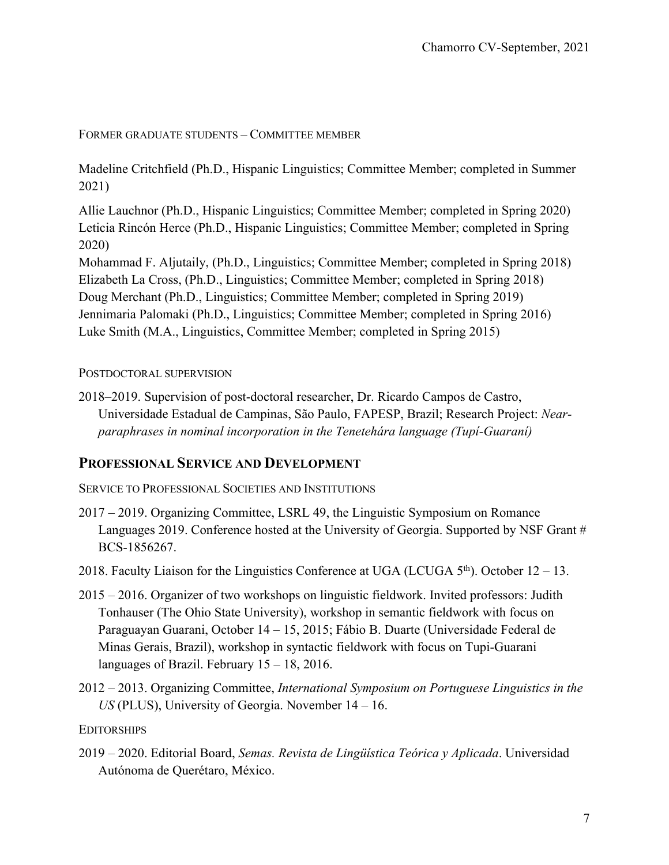#### FORMER GRADUATE STUDENTS – COMMITTEE MEMBER

Madeline Critchfield (Ph.D., Hispanic Linguistics; Committee Member; completed in Summer 2021)

Allie Lauchnor (Ph.D., Hispanic Linguistics; Committee Member; completed in Spring 2020) Leticia Rincón Herce (Ph.D., Hispanic Linguistics; Committee Member; completed in Spring 2020)

Mohammad F. Aljutaily, (Ph.D., Linguistics; Committee Member; completed in Spring 2018) Elizabeth La Cross, (Ph.D., Linguistics; Committee Member; completed in Spring 2018) Doug Merchant (Ph.D., Linguistics; Committee Member; completed in Spring 2019) Jennimaria Palomaki (Ph.D., Linguistics; Committee Member; completed in Spring 2016) Luke Smith (M.A., Linguistics, Committee Member; completed in Spring 2015)

#### POSTDOCTORAL SUPERVISION

2018–2019. Supervision of post-doctoral researcher, Dr. Ricardo Campos de Castro, Universidade Estadual de Campinas, São Paulo, FAPESP, Brazil; Research Project: *Nearparaphrases in nominal incorporation in the Tenetehára language (Tupí-Guaraní)*

## **PROFESSIONAL SERVICE AND DEVELOPMENT**

SERVICE TO PROFESSIONAL SOCIETIES AND INSTITUTIONS

- 2017 2019. Organizing Committee, LSRL 49, the Linguistic Symposium on Romance Languages 2019. Conference hosted at the University of Georgia. Supported by NSF Grant # BCS-1856267.
- 2018. Faculty Liaison for the Linguistics Conference at UGA (LCUGA  $5<sup>th</sup>$ ). October 12 13.
- 2015 2016. Organizer of two workshops on linguistic fieldwork. Invited professors: Judith Tonhauser (The Ohio State University), workshop in semantic fieldwork with focus on Paraguayan Guarani, October 14 – 15, 2015; Fábio B. Duarte (Universidade Federal de Minas Gerais, Brazil), workshop in syntactic fieldwork with focus on Tupi-Guarani languages of Brazil. February 15 – 18, 2016.
- 2012 2013. Organizing Committee, *International Symposium on Portuguese Linguistics in the US* (PLUS), University of Georgia. November 14 – 16.

**EDITORSHIPS** 

2019 – 2020. Editorial Board, *Semas. Revista de Lingüística Teórica y Aplicada*. Universidad Autónoma de Querétaro, México.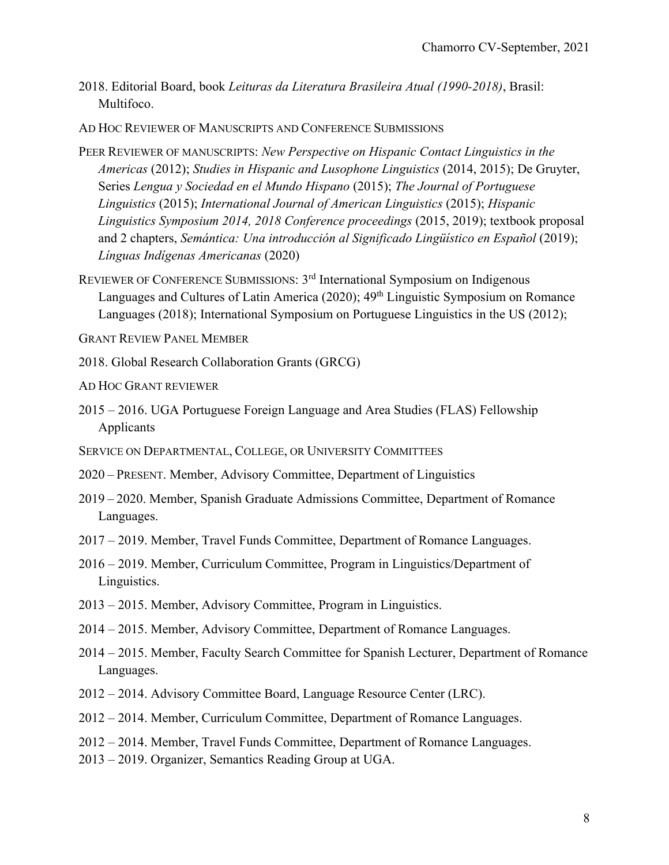- 2018. Editorial Board, book *Leituras da Literatura Brasileira Atual (1990-2018)*, Brasil: Multifoco.
- AD HOC REVIEWER OF MANUSCRIPTS AND CONFERENCE SUBMISSIONS
- PEER REVIEWER OF MANUSCRIPTS: *New Perspective on Hispanic Contact Linguistics in the Americas* (2012); *Studies in Hispanic and Lusophone Linguistics* (2014, 2015); De Gruyter, Series *Lengua y Sociedad en el Mundo Hispano* (2015); *The Journal of Portuguese Linguistics* (2015); *International Journal of American Linguistics* (2015); *Hispanic Linguistics Symposium 2014, 2018 Conference proceedings* (2015, 2019); textbook proposal and 2 chapters, *Semántica: Una introducción al Significado Lingüístico en Español* (2019); *Línguas Indígenas Americanas* (2020)
- REVIEWER OF CONFERENCE SUBMISSIONS: 3rd International Symposium on Indigenous Languages and Cultures of Latin America (2020); 49<sup>th</sup> Linguistic Symposium on Romance Languages (2018); International Symposium on Portuguese Linguistics in the US (2012);

GRANT REVIEW PANEL MEMBER

- 2018. Global Research Collaboration Grants (GRCG)
- AD HOC GRANT REVIEWER
- 2015 2016. UGA Portuguese Foreign Language and Area Studies (FLAS) Fellowship Applicants
- SERVICE ON DEPARTMENTAL, COLLEGE, OR UNIVERSITY COMMITTEES
- 2020 PRESENT. Member, Advisory Committee, Department of Linguistics
- 2019 2020. Member, Spanish Graduate Admissions Committee, Department of Romance Languages.
- 2017 2019. Member, Travel Funds Committee, Department of Romance Languages.
- 2016 2019. Member, Curriculum Committee, Program in Linguistics/Department of Linguistics.
- 2013 2015. Member, Advisory Committee, Program in Linguistics.
- 2014 2015. Member, Advisory Committee, Department of Romance Languages.
- 2014 2015. Member, Faculty Search Committee for Spanish Lecturer, Department of Romance Languages.
- 2012 2014. Advisory Committee Board, Language Resource Center (LRC).
- 2012 2014. Member, Curriculum Committee, Department of Romance Languages.
- 2012 2014. Member, Travel Funds Committee, Department of Romance Languages.
- 2013 2019. Organizer, Semantics Reading Group at UGA.